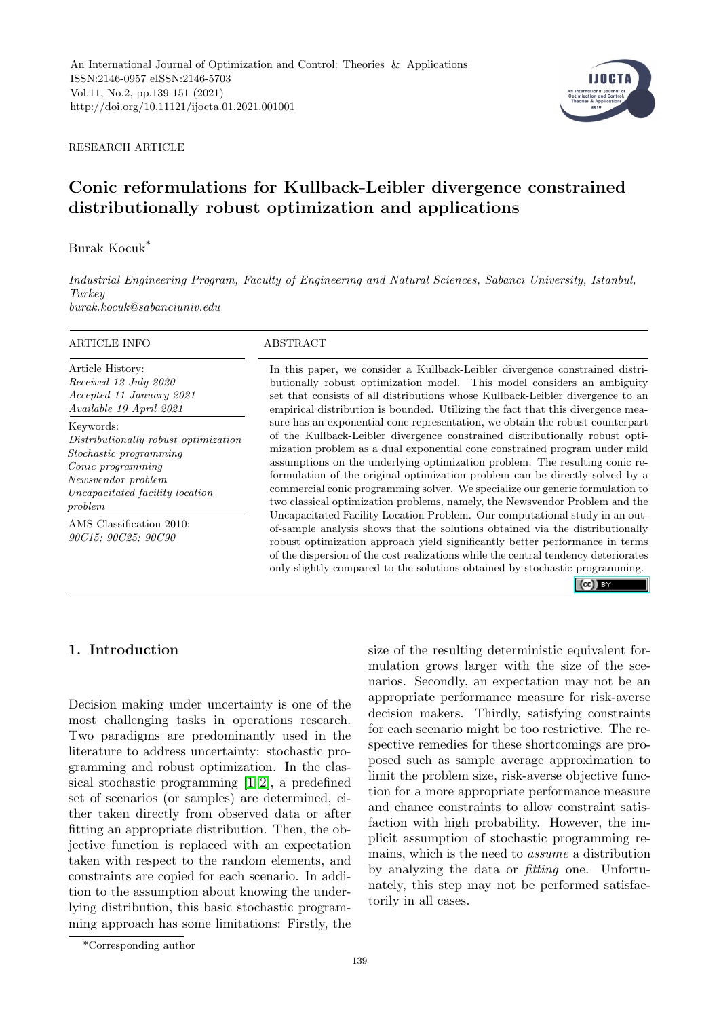

RESEARCH ARTICLE

# Conic reformulations for Kullback-Leibler divergence constrained distributionally robust optimization and applications

Burak Kocuk\*

*Industrial Engineering Program, Faculty of Engineering and Natural Sciences, Sabancı University, Istanbul, Turkey burak.kocuk@sabanciuniv.edu*

| ARTICLE INFO                                    | ABSTRACT                                                                                                                                                                                                                                                                                                                                                                                                          |  |  |  |  |
|-------------------------------------------------|-------------------------------------------------------------------------------------------------------------------------------------------------------------------------------------------------------------------------------------------------------------------------------------------------------------------------------------------------------------------------------------------------------------------|--|--|--|--|
| Article History:                                | In this paper, we consider a Kullback-Leibler divergence constrained distri-                                                                                                                                                                                                                                                                                                                                      |  |  |  |  |
| Received 12 July 2020                           | butionally robust optimization model. This model considers an ambiguity                                                                                                                                                                                                                                                                                                                                           |  |  |  |  |
| Accepted 11 January 2021                        | set that consists of all distributions whose Kullback-Leibler divergence to an                                                                                                                                                                                                                                                                                                                                    |  |  |  |  |
| Available 19 April 2021                         | empirical distribution is bounded. Utilizing the fact that this divergence mea-                                                                                                                                                                                                                                                                                                                                   |  |  |  |  |
| Keywords:                                       | sure has an exponential cone representation, we obtain the robust counterpart                                                                                                                                                                                                                                                                                                                                     |  |  |  |  |
| Distributionally robust optimization            | of the Kullback-Leibler divergence constrained distributionally robust opti-                                                                                                                                                                                                                                                                                                                                      |  |  |  |  |
| Stochastic programming                          | mization problem as a dual exponential cone constrained program under mild                                                                                                                                                                                                                                                                                                                                        |  |  |  |  |
| Conic programming                               | assumptions on the underlying optimization problem. The resulting conic re-                                                                                                                                                                                                                                                                                                                                       |  |  |  |  |
| Newsvendor problem                              | formulation of the original optimization problem can be directly solved by a                                                                                                                                                                                                                                                                                                                                      |  |  |  |  |
| Uncapacitated facility location                 | commercial conic programming solver. We specialize our generic formulation to                                                                                                                                                                                                                                                                                                                                     |  |  |  |  |
| problem                                         | two classical optimization problems, namely, the Newsvendor Problem and the                                                                                                                                                                                                                                                                                                                                       |  |  |  |  |
| AMS Classification 2010:<br>90C15; 90C25; 90C90 | Uncapacitated Facility Location Problem. Our computational study in an out-<br>of-sample analysis shows that the solutions obtained via the distributionally<br>robust optimization approach yield significantly better performance in terms<br>of the dispersion of the cost realizations while the central tendency deteriorates<br>only slightly compared to the solutions obtained by stochastic programming. |  |  |  |  |

 $(cc)$  BY

# 1. Introduction

Decision making under uncertainty is one of the most challenging tasks in operations research. Two paradigms are predominantly used in the literature to address uncertainty: stochastic programming and robust optimization. In the classical stochastic programming [\[1,](#page-10-0) [2\]](#page-10-1), a predefined set of scenarios (or samples) are determined, either taken directly from observed data or after fitting an appropriate distribution. Then, the objective function is replaced with an expectation taken with respect to the random elements, and constraints are copied for each scenario. In addition to the assumption about knowing the underlying distribution, this basic stochastic programming approach has some limitations: Firstly, the size of the resulting deterministic equivalent formulation grows larger with the size of the scenarios. Secondly, an expectation may not be an appropriate performance measure for risk-averse decision makers. Thirdly, satisfying constraints for each scenario might be too restrictive. The respective remedies for these shortcomings are proposed such as sample average approximation to limit the problem size, risk-averse objective function for a more appropriate performance measure and chance constraints to allow constraint satisfaction with high probability. However, the implicit assumption of stochastic programming remains, which is the need to *assume* a distribution by analyzing the data or *fitting* one. Unfortunately, this step may not be performed satisfactorily in all cases.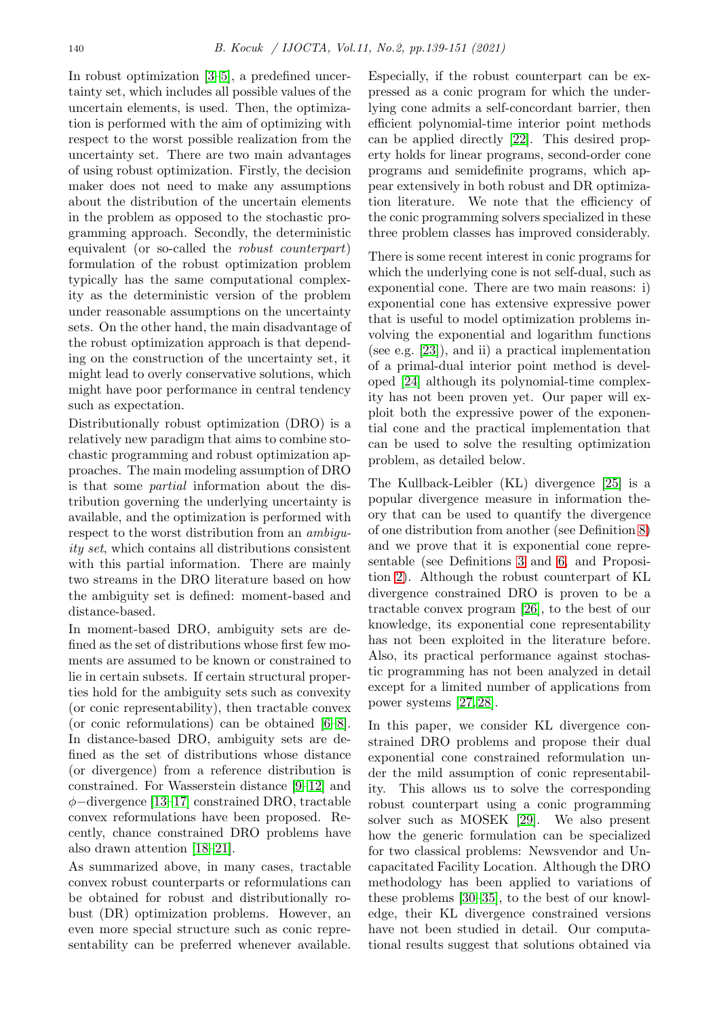In robust optimization [\[3](#page-10-2)[–5\]](#page-10-3), a predefined uncertainty set, which includes all possible values of the uncertain elements, is used. Then, the optimization is performed with the aim of optimizing with respect to the worst possible realization from the uncertainty set. There are two main advantages of using robust optimization. Firstly, the decision maker does not need to make any assumptions about the distribution of the uncertain elements in the problem as opposed to the stochastic programming approach. Secondly, the deterministic equivalent (or so-called the *robust counterpart*) formulation of the robust optimization problem typically has the same computational complexity as the deterministic version of the problem under reasonable assumptions on the uncertainty sets. On the other hand, the main disadvantage of the robust optimization approach is that depending on the construction of the uncertainty set, it might lead to overly conservative solutions, which might have poor performance in central tendency such as expectation.

Distributionally robust optimization (DRO) is a relatively new paradigm that aims to combine stochastic programming and robust optimization approaches. The main modeling assumption of DRO is that some *partial* information about the distribution governing the underlying uncertainty is available, and the optimization is performed with respect to the worst distribution from an *ambiguity set*, which contains all distributions consistent with this partial information. There are mainly two streams in the DRO literature based on how the ambiguity set is defined: moment-based and distance-based.

In moment-based DRO, ambiguity sets are defined as the set of distributions whose first few moments are assumed to be known or constrained to lie in certain subsets. If certain structural properties hold for the ambiguity sets such as convexity (or conic representability), then tractable convex (or conic reformulations) can be obtained [\[6–](#page-10-4)[8\]](#page-11-0). In distance-based DRO, ambiguity sets are defined as the set of distributions whose distance (or divergence) from a reference distribution is constrained. For Wasserstein distance [\[9](#page-11-1)[–12\]](#page-11-2) and φ−divergence [\[13–](#page-11-3)[17\]](#page-11-4) constrained DRO, tractable convex reformulations have been proposed. Recently, chance constrained DRO problems have also drawn attention [\[18–](#page-11-5)[21\]](#page-11-6).

As summarized above, in many cases, tractable convex robust counterparts or reformulations can be obtained for robust and distributionally robust (DR) optimization problems. However, an even more special structure such as conic representability can be preferred whenever available.

Especially, if the robust counterpart can be expressed as a conic program for which the underlying cone admits a self-concordant barrier, then efficient polynomial-time interior point methods can be applied directly [\[22\]](#page-11-7). This desired property holds for linear programs, second-order cone programs and semidefinite programs, which appear extensively in both robust and DR optimization literature. We note that the efficiency of the conic programming solvers specialized in these three problem classes has improved considerably.

There is some recent interest in conic programs for which the underlying cone is not self-dual, such as exponential cone. There are two main reasons: i) exponential cone has extensive expressive power that is useful to model optimization problems involving the exponential and logarithm functions (see e.g. [\[23\]](#page-11-8)), and ii) a practical implementation of a primal-dual interior point method is developed [\[24\]](#page-11-9) although its polynomial-time complexity has not been proven yet. Our paper will exploit both the expressive power of the exponential cone and the practical implementation that can be used to solve the resulting optimization problem, as detailed below.

The Kullback-Leibler (KL) divergence [\[25\]](#page-11-10) is a popular divergence measure in information theory that can be used to quantify the divergence of one distribution from another (see Definition [8\)](#page-3-0) and we prove that it is exponential cone representable (see Definitions [3](#page-2-0) and [6,](#page-3-1) and Proposition [2\)](#page-3-2). Although the robust counterpart of KL divergence constrained DRO is proven to be a tractable convex program [\[26\]](#page-11-11), to the best of our knowledge, its exponential cone representability has not been exploited in the literature before. Also, its practical performance against stochastic programming has not been analyzed in detail except for a limited number of applications from power systems [\[27,](#page-11-12) [28\]](#page-11-13).

In this paper, we consider KL divergence constrained DRO problems and propose their dual exponential cone constrained reformulation under the mild assumption of conic representability. This allows us to solve the corresponding robust counterpart using a conic programming solver such as MOSEK [\[29\]](#page-11-14). We also present how the generic formulation can be specialized for two classical problems: Newsvendor and Uncapacitated Facility Location. Although the DRO methodology has been applied to variations of these problems [\[30](#page-11-15)[–35\]](#page-12-0), to the best of our knowledge, their KL divergence constrained versions have not been studied in detail. Our computational results suggest that solutions obtained via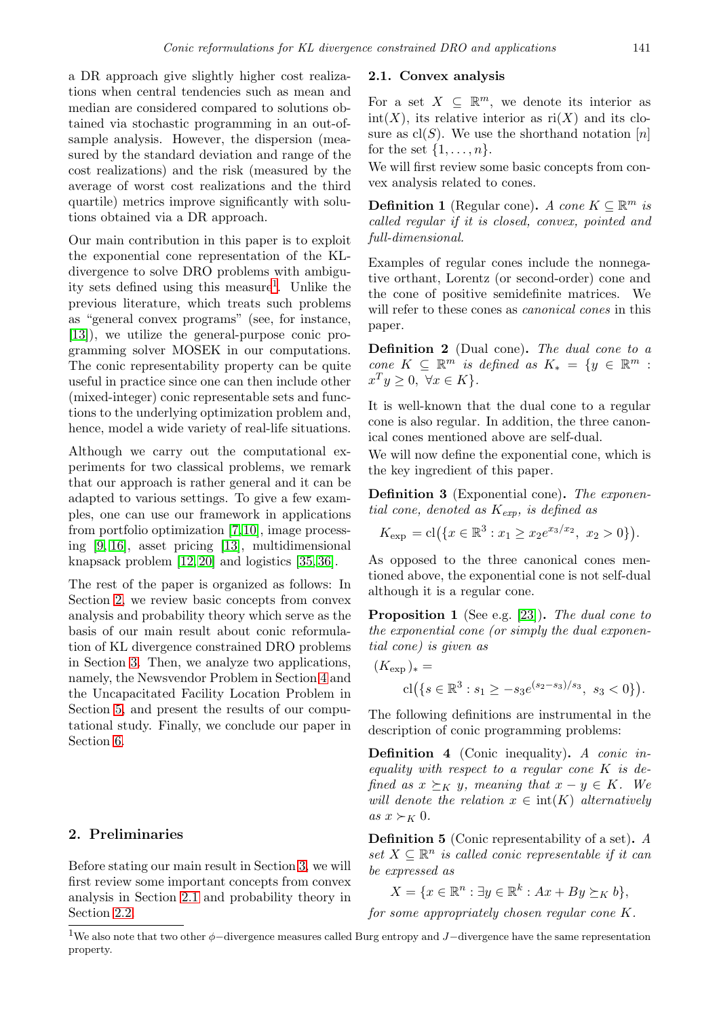a DR approach give slightly higher cost realizations when central tendencies such as mean and median are considered compared to solutions obtained via stochastic programming in an out-ofsample analysis. However, the dispersion (measured by the standard deviation and range of the cost realizations) and the risk (measured by the average of worst cost realizations and the third quartile) metrics improve significantly with solutions obtained via a DR approach.

Our main contribution in this paper is to exploit the exponential cone representation of the KLdivergence to solve DRO problems with ambiguity sets defined using this measure<sup>1</sup>. Unlike the previous literature, which treats such problems as "general convex programs" (see, for instance, [\[13\]](#page-11-3)), we utilize the general-purpose conic programming solver MOSEK in our computations. The conic representability property can be quite useful in practice since one can then include other (mixed-integer) conic representable sets and functions to the underlying optimization problem and, hence, model a wide variety of real-life situations.

Although we carry out the computational experiments for two classical problems, we remark that our approach is rather general and it can be adapted to various settings. To give a few examples, one can use our framework in applications from portfolio optimization [\[7,](#page-11-16)[10\]](#page-11-17), image processing [\[9,](#page-11-1) [16\]](#page-11-18), asset pricing [\[13\]](#page-11-3), multidimensional knapsack problem [\[12,](#page-11-2) [20\]](#page-11-19) and logistics [\[35,](#page-12-0) [36\]](#page-12-1).

The rest of the paper is organized as follows: In Section [2,](#page-2-1) we review basic concepts from convex analysis and probability theory which serve as the basis of our main result about conic reformulation of KL divergence constrained DRO problems in Section [3.](#page-3-3) Then, we analyze two applications, namely, the Newsvendor Problem in Section [4](#page-5-0) and the Uncapacitated Facility Location Problem in Section [5,](#page-7-0) and present the results of our computational study. Finally, we conclude our paper in Section [6.](#page-10-5)

#### <span id="page-2-1"></span>2. Preliminaries

Before stating our main result in Section [3,](#page-3-3) we will first review some important concepts from convex analysis in Section [2.1](#page-2-2) and probability theory in Section [2.2.](#page-3-4)

#### <span id="page-2-2"></span>2.1. Convex analysis

For a set  $X \subseteq \mathbb{R}^m$ , we denote its interior as  $int(X)$ , its relative interior as  $ri(X)$  and its closure as  $\text{cl}(S)$ . We use the shorthand notation [n] for the set  $\{1, \ldots, n\}.$ 

We will first review some basic concepts from convex analysis related to cones.

**Definition 1** (Regular cone). *A cone*  $K \subseteq \mathbb{R}^m$  *is called regular if it is closed, convex, pointed and full-dimensional.*

Examples of regular cones include the nonnegative orthant, Lorentz (or second-order) cone and the cone of positive semidefinite matrices. We will refer to these cones as *canonical cones* in this paper.

Definition 2 (Dual cone). *The dual cone to a cone*  $K \subseteq \mathbb{R}^m$  *is defined as*  $K_* = \{y \in \mathbb{R}^m :$  $x^T y \geq 0, \ \forall x \in K$ .

It is well-known that the dual cone to a regular cone is also regular. In addition, the three canonical cones mentioned above are self-dual.

We will now define the exponential cone, which is the key ingredient of this paper.

<span id="page-2-0"></span>Definition 3 (Exponential cone). *The exponential cone, denoted as* Kexp*, is defined as*

$$
K_{\exp} = cl(\lbrace x \in \mathbb{R}^3 : x_1 \ge x_2 e^{x_3/x_2}, x_2 > 0 \rbrace).
$$

As opposed to the three canonical cones mentioned above, the exponential cone is not self-dual although it is a regular cone.

Proposition 1 (See e.g. [\[23\]](#page-11-8)). *The dual cone to the exponential cone (or simply the dual exponential cone) is given as*

$$
(K_{\exp})_* =
$$
  
 
$$
cl({s \in \mathbb{R}^3 : s_1 \ge -s_3 e^{(s_2 - s_3)/s_3}, s_3 < 0}).
$$

The following definitions are instrumental in the description of conic programming problems:

Definition 4 (Conic inequality). *A conic inequality with respect to a regular cone* K *is defined as*  $x \succeq_K y$ *, meaning that*  $x - y \in K$ *. We will denote the relation*  $x \in \text{int}(K)$  *alternatively*  $as x \succ_K 0$ .

Definition 5 (Conic representability of a set). *A*  $set X \subseteq \mathbb{R}^n$  *is called conic representable if it can be expressed as*

 $X = \{x \in \mathbb{R}^n : \exists y \in \mathbb{R}^k : Ax + By \succeq_K b\},\$ 

*for some appropriately chosen regular cone* K*.*

<sup>&</sup>lt;sup>1</sup>We also note that two other  $\phi$ −divergence measures called Burg entropy and J−divergence have the same representation property.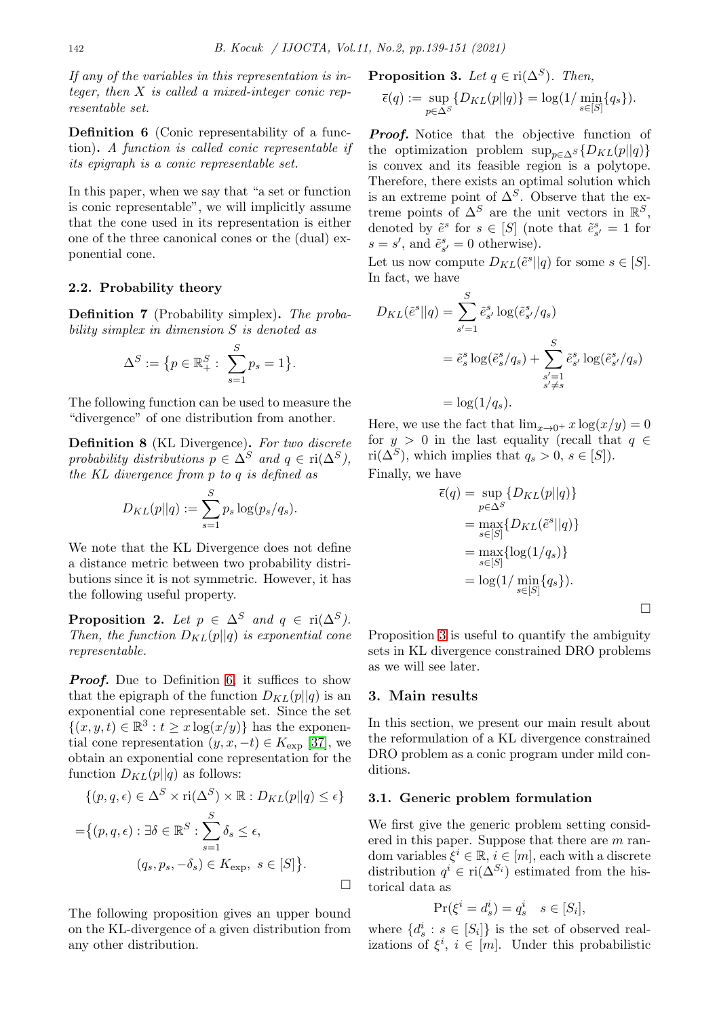*If any of the variables in this representation is integer, then* X *is called a mixed-integer conic representable set.*

<span id="page-3-1"></span>Definition 6 (Conic representability of a function). *A function is called conic representable if its epigraph is a conic representable set.*

In this paper, when we say that "a set or function is conic representable", we will implicitly assume that the cone used in its representation is either one of the three canonical cones or the (dual) exponential cone.

#### <span id="page-3-4"></span>2.2. Probability theory

Definition 7 (Probability simplex). *The probability simplex in dimension* S *is denoted as*

$$
\Delta^{S} := \{ p \in \mathbb{R}_{+}^{S} : \sum_{s=1}^{S} p_{s} = 1 \}.
$$

The following function can be used to measure the "divergence" of one distribution from another.

<span id="page-3-0"></span>Definition 8 (KL Divergence). *For two discrete* probability distributions  $p \in \Delta^S$  and  $q \in \text{ri}(\Delta^S)$ , *the KL divergence from* p *to* q *is defined as*

$$
D_{KL}(p||q) := \sum_{s=1}^{S} p_s \log(p_s/q_s).
$$

We note that the KL Divergence does not define a distance metric between two probability distributions since it is not symmetric. However, it has the following useful property.

<span id="page-3-2"></span>**Proposition 2.** Let  $p \in \Delta^S$  and  $q \in \text{ri}(\Delta^S)$ . *Then, the function*  $D_{KL}(p||q)$  *is exponential cone representable.*

*Proof.* Due to Definition [6,](#page-3-1) it suffices to show that the epigraph of the function  $D_{KL}(p||q)$  is an exponential cone representable set. Since the set  $\{(x, y, t) \in \mathbb{R}^3 : t \geq x \log(x/y)\}\$  has the exponential cone representation  $(y, x, -t) \in K_{\text{exp}}$  [\[37\]](#page-12-2), we obtain an exponential cone representation for the function  $D_{KL}(p||q)$  as follows:

$$
\{(p, q, \epsilon) \in \Delta^S \times \text{ri}(\Delta^S) \times \mathbb{R} : D_{KL}(p||q) \le \epsilon\}
$$

$$
= \{(p, q, \epsilon) : \exists \delta \in \mathbb{R}^S : \sum_{s=1}^S \delta_s \le \epsilon,
$$

$$
(q_s, p_s, -\delta_s) \in K_{\text{exp}}, \ s \in [S] \}.
$$

The following proposition gives an upper bound on the KL-divergence of a given distribution from any other distribution.

<span id="page-3-5"></span>**Proposition 3.** Let 
$$
q \in \text{ri}(\Delta^S)
$$
. Then,

$$
\overline{\epsilon}(q) := \sup_{p \in \Delta^S} \{ D_{KL}(p || q) \} = \log(1 / \min_{s \in [S]} \{ q_s \}).
$$

*Proof.* Notice that the objective function of the optimization problem  $\sup_{p\in \Delta^{S}}\{D_{KL}(p||q)\}$ is convex and its feasible region is a polytope. Therefore, there exists an optimal solution which is an extreme point of  $\Delta^S$ . Observe that the extreme points of  $\Delta^S$  are the unit vectors in  $\mathbb{R}^S$ , denoted by  $\tilde{e}^s$  for  $s \in [S]$  (note that  $\tilde{e}^s_{s'} = 1$  for  $s = s'$ , and  $\tilde{e}_{s'}^s = 0$  otherwise).

Let us now compute  $D_{KL}(\tilde{e}^s||q)$  for some  $s \in [S]$ . In fact, we have

$$
D_{KL}(\tilde{e}^s||q) = \sum_{s'=1}^{S} \tilde{e}_{s'}^s \log(\tilde{e}_{s'}^s/q_s)
$$
  
=  $\tilde{e}_s^s \log(\tilde{e}_s^s/q_s) + \sum_{\substack{s'=1\\s'\neq s}}^{S} \tilde{e}_{s'}^s \log(\tilde{e}_{s'}^s/q_s)$   
=  $\log(1/q_s)$ .

Here, we use the fact that  $\lim_{x\to 0^+} x \log(x/y) = 0$ for  $y > 0$  in the last equality (recall that  $q \in$ ri( $\Delta^{S}$ ), which implies that  $q_s > 0$ ,  $s \in [S]$ ).  $\overline{\text{Finalv}}$ 

$$
\begin{aligned}\n\overline{\epsilon}(q) &= \sup_{p \in \Delta^S} \{ D_{KL}(p||q) \} \\
&= \max_{s \in [S]} \{ D_{KL}(\tilde{e}^s||q) \} \\
&= \max_{s \in [S]} \{ \log(1/q_s) \} \\
&= \log(1/\min_{s \in [S]} \{q_s\}).\n\end{aligned}
$$

Proposition [3](#page-3-5) is useful to quantify the ambiguity sets in KL divergence constrained DRO problems as we will see later.

#### <span id="page-3-3"></span>3. Main results

In this section, we present our main result about the reformulation of a KL divergence constrained DRO problem as a conic program under mild conditions.

#### <span id="page-3-6"></span>3.1. Generic problem formulation

We first give the generic problem setting considered in this paper. Suppose that there are  $m$  random variables  $\xi^i \in \mathbb{R}, i \in [m]$ , each with a discrete distribution  $q^i \in \text{ri}(\Delta^{S_i})$  estimated from the historical data as

$$
\Pr(\xi^i = d_s^i) = q_s^i \quad s \in [S_i],
$$

where  $\{d_s^i : s \in [S_i]\}$  is the set of observed realizations of  $\xi^i$ ,  $i \in [m]$ . Under this probabilistic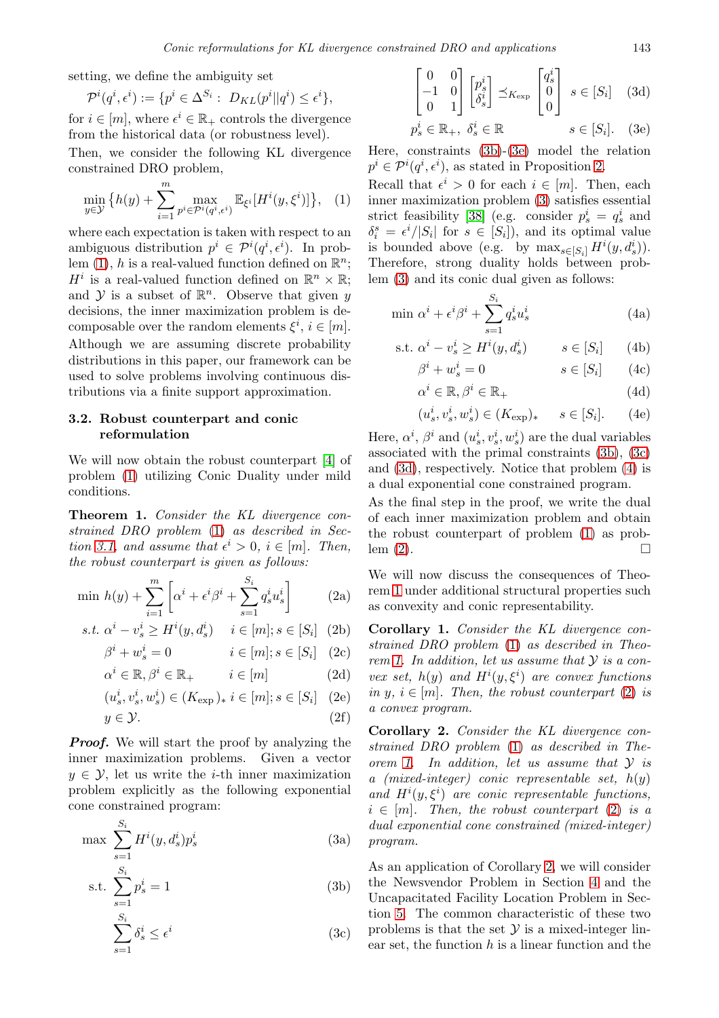setting, we define the ambiguity set

$$
\mathcal{P}^i(q^i, \epsilon^i) := \{ p^i \in \Delta^{S_i} : D_{KL}(p^i || q^i) \le \epsilon^i \},
$$

for  $i \in [m]$ , where  $\epsilon^i \in \mathbb{R}_+$  controls the divergence from the historical data (or robustness level).

Then, we consider the following KL divergence constrained DRO problem,

<span id="page-4-0"></span>
$$
\min_{y \in \mathcal{Y}} \left\{ h(y) + \sum_{i=1}^{m} \max_{p^i \in \mathcal{P}^i(q^i, \epsilon^i)} \mathbb{E}_{\xi^i}[H^i(y, \xi^i)] \right\}, \quad (1)
$$

where each expectation is taken with respect to an ambiguous distribution  $p^i \in \mathcal{P}^i(q^i, \epsilon^i)$ . In problem  $(1)$ , h is a real-valued function defined on  $\mathbb{R}^n$ ;  $H^i$  is a real-valued function defined on  $\mathbb{R}^n \times \mathbb{R}$ ; and  $\mathcal Y$  is a subset of  $\mathbb{R}^n$ . Observe that given y decisions, the inner maximization problem is decomposable over the random elements  $\xi^i$ ,  $i \in [m]$ . Although we are assuming discrete probability distributions in this paper, our framework can be used to solve problems involving continuous distributions via a finite support approximation.

### 3.2. Robust counterpart and conic reformulation

We will now obtain the robust counterpart [\[4\]](#page-10-6) of problem [\(1\)](#page-4-0) utilizing Conic Duality under mild conditions.

<span id="page-4-8"></span>Theorem 1. *Consider the KL divergence constrained DRO problem* [\(1\)](#page-4-0) *as described in Section* [3.1,](#page-3-6) and assume that  $\epsilon^i > 0$ ,  $i \in [m]$ . Then, *the robust counterpart is given as follows:*

$$
\min h(y) + \sum_{i=1}^{m} \left[ \alpha^i + \epsilon^i \beta^i + \sum_{s=1}^{S_i} q_s^i u_s^i \right] \tag{2a}
$$

s.t. 
$$
\alpha^i - v_s^i \ge H^i(y, d_s^i)
$$
  $i \in [m]; s \in [S_i]$  (2b)  
\n $\beta^i + w_s^i = 0$   $i \in [m]; s \in [S_i]$  (2c)

$$
\beta^{i} + w_{s}^{i} = 0 \qquad i \in [m]; s \in [S_{i}] \quad (2c)
$$
  

$$
\alpha^{i} \in \mathbb{R}, \beta^{i} \in \mathbb{R}_{+} \qquad i \in [m] \qquad (2d)
$$

$$
(u_s^i, v_s^i, w_s^i) \in (K_{\exp})_* \ i \in [m]; s \in [S_i] \quad (2e)
$$

$$
y \in \mathcal{Y}.\tag{2f}
$$

*Proof.* We will start the proof by analyzing the inner maximization problems. Given a vector  $y \in \mathcal{Y}$ , let us write the *i*-th inner maximization problem explicitly as the following exponential cone constrained program:

<span id="page-4-3"></span>
$$
\max \sum_{s=1}^{S_i} H^i(y, d_s^i) p_s^i \tag{3a}
$$

s.t. 
$$
\sum_{s=1}^{S_i} p_s^i = 1
$$
 (3b)

$$
\sum_{s=1}^{S_i} \delta_s^i \le \epsilon^i \tag{3c}
$$

<span id="page-4-5"></span><span id="page-4-2"></span>
$$
\begin{bmatrix} 0 & 0 \ -1 & 0 \ 0 & 1 \end{bmatrix} \begin{bmatrix} p_s^i \\ \delta_s^i \end{bmatrix} \preceq_{K_{\exp}} \begin{bmatrix} q_s^i \\ 0 \\ 0 \end{bmatrix} s \in [S_i] \quad (3d)
$$
  

$$
p_s^i \in \mathbb{R}_+, \ \delta_s^i \in \mathbb{R} \qquad s \in [S_i]. \quad (3e)
$$

Here, constraints [\(3b\)](#page-4-1)-[\(3e\)](#page-4-2) model the relation

 $p^i \in \mathcal{P}^i(q^i, \epsilon^i)$ , as stated in Proposition [2.](#page-3-2)

Recall that  $\epsilon^i > 0$  for each  $i \in [m]$ . Then, each inner maximization problem [\(3\)](#page-4-3) satisfies essential strict feasibility [\[38\]](#page-12-3) (e.g. consider  $p_s^i = q_s^i$  and  $\delta_i^s = \epsilon^i/|S_i|$  for  $s \in [S_i]$ , and its optimal value is bounded above (e.g. by  $\max_{s \in [S_i]} H^i(y, d_s^i)$ ). Therefore, strong duality holds between problem [\(3\)](#page-4-3) and its conic dual given as follows:

$$
\min \alpha^i + \epsilon^i \beta^i + \sum_{s=1}^{S_i} q_s^i u_s^i \tag{4a}
$$

s.t. 
$$
\alpha^i - v_s^i \ge H^i(y, d_s^i)
$$
  $s \in [S_i]$  (4b)

<span id="page-4-6"></span>
$$
\beta^i + w^i_s = 0 \qquad \qquad s \in [S_i] \qquad (4c)
$$

$$
\alpha^i \in \mathbb{R}, \beta^i \in \mathbb{R}_+ \tag{4d}
$$

$$
(u_s^i, v_s^i, w_s^i) \in (K_{\exp})_* \qquad s \in [S_i]. \tag{4e}
$$

Here,  $\alpha^i$ ,  $\beta^i$  and  $(u_s^i, v_s^i, w_s^i)$  are the dual variables associated with the primal constraints [\(3b\)](#page-4-1), [\(3c\)](#page-4-4) and [\(3d\)](#page-4-5), respectively. Notice that problem [\(4\)](#page-4-6) is a dual exponential cone constrained program.

As the final step in the proof, we write the dual of each inner maximization problem and obtain the robust counterpart of problem [\(1\)](#page-4-0) as problem  $(2)$ .

<span id="page-4-7"></span>We will now discuss the consequences of Theorem [1](#page-4-8) under additional structural properties such as convexity and conic representability.

<span id="page-4-11"></span><span id="page-4-10"></span>Corollary 1. *Consider the KL divergence constrained DRO problem* [\(1\)](#page-4-0) *as described in Theorem [1.](#page-4-8) In addition, let us assume that* Y *is a convex set,*  $h(y)$  *and*  $H^{i}(y, \xi^{i})$  *are convex functions in* y,  $i \in [m]$ *. Then, the robust counterpart* [\(2\)](#page-4-7) *is a convex program.*

<span id="page-4-12"></span><span id="page-4-9"></span>Corollary 2. *Consider the KL divergence constrained DRO problem* [\(1\)](#page-4-0) *as described in Theorem [1.](#page-4-8) In addition, let us assume that* Y *is a (mixed-integer) conic representable set,* h(y) and  $H^{i}(y,\xi^{i})$  are conic representable functions,  $i \in [m]$ . Then, the robust counterpart [\(2\)](#page-4-7) is a *dual exponential cone constrained (mixed-integer) program.*

<span id="page-4-4"></span><span id="page-4-1"></span>As an application of Corollary [2,](#page-4-9) we will consider the Newsvendor Problem in Section [4](#page-5-0) and the Uncapacitated Facility Location Problem in Section [5.](#page-7-0) The common characteristic of these two problems is that the set  $\mathcal Y$  is a mixed-integer linear set, the function  $h$  is a linear function and the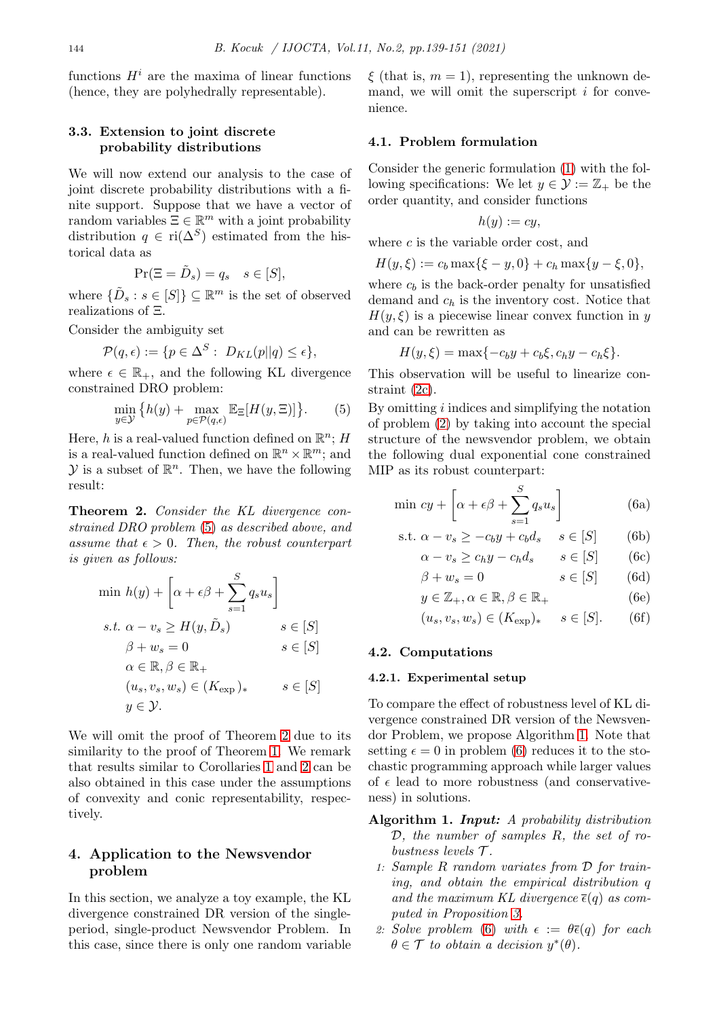functions  $H^i$  are the maxima of linear functions (hence, they are polyhedrally representable).

#### 3.3. Extension to joint discrete probability distributions

We will now extend our analysis to the case of joint discrete probability distributions with a finite support. Suppose that we have a vector of random variables  $\Xi \in \mathbb{R}^m$  with a joint probability distribution  $q \in \text{ri}(\Delta^S)$  estimated from the historical data as

$$
\Pr(\Xi = \tilde{D}_s) = q_s \quad s \in [S],
$$

where  $\{\tilde{D}_s : s \in [S]\} \subseteq \mathbb{R}^m$  is the set of observed realizations of Ξ.

Consider the ambiguity set

$$
\mathcal{P}(q,\epsilon) := \{ p \in \Delta^S : \ D_{KL}(p||q) \le \epsilon \},\
$$

where  $\epsilon \in \mathbb{R}_+$ , and the following KL divergence constrained DRO problem:

<span id="page-5-1"></span>
$$
\min_{y \in \mathcal{Y}} \left\{ h(y) + \max_{p \in \mathcal{P}(q,\epsilon)} \mathbb{E}_{\Xi}[H(y,\Xi)] \right\}.
$$
 (5)

Here, h is a real-valued function defined on  $\mathbb{R}^n$ ; H is a real-valued function defined on  $\mathbb{R}^n \times \mathbb{R}^m$ ; and  $\mathcal Y$  is a subset of  $\mathbb{R}^n$ . Then, we have the following result:

<span id="page-5-2"></span>Theorem 2. *Consider the KL divergence constrained DRO problem* [\(5\)](#page-5-1) *as described above, and assume that*  $\epsilon > 0$ *. Then, the robust counterpart is given as follows:*

$$
\min h(y) + \left[\alpha + \epsilon \beta + \sum_{s=1}^{S} q_s u_s\right]
$$
\n
$$
s.t. \ \alpha - v_s \ge H(y, \tilde{D}_s) \qquad s \in [S]
$$
\n
$$
\beta + w_s = 0 \qquad s \in [S]
$$
\n
$$
\alpha \in \mathbb{R}, \beta \in \mathbb{R}_+
$$
\n
$$
(u_s, v_s, w_s) \in (K_{\exp})_* \qquad s \in [S]
$$
\n
$$
y \in \mathcal{Y}.
$$

We will omit the proof of Theorem [2](#page-5-2) due to its similarity to the proof of Theorem [1.](#page-4-8) We remark that results similar to Corollaries [1](#page-4-10) and [2](#page-4-9) can be also obtained in this case under the assumptions of convexity and conic representability, respectively.

# <span id="page-5-0"></span>4. Application to the Newsvendor problem

In this section, we analyze a toy example, the KL divergence constrained DR version of the singleperiod, single-product Newsvendor Problem. In this case, since there is only one random variable  $\xi$  (that is,  $m = 1$ ), representing the unknown demand, we will omit the superscript  $i$  for convenience.

#### 4.1. Problem formulation

Consider the generic formulation [\(1\)](#page-4-0) with the following specifications: We let  $y \in \mathcal{Y} := \mathbb{Z}_+$  be the order quantity, and consider functions

$$
h(y):=cy,
$$

where  $c$  is the variable order cost, and

$$
H(y,\xi) := c_b \max\{\xi - y, 0\} + c_h \max\{y - \xi, 0\},\
$$

where  $c_b$  is the back-order penalty for unsatisfied demand and  $c_h$  is the inventory cost. Notice that  $H(y,\xi)$  is a piecewise linear convex function in y and can be rewritten as

$$
H(y,\xi) = \max\{-c_b y + c_b \xi, c_h y - c_h \xi\}.
$$

This observation will be useful to linearize constraint [\(2c\)](#page-4-11).

By omitting  $i$  indices and simplifying the notation of problem [\(2\)](#page-4-7) by taking into account the special structure of the newsvendor problem, we obtain the following dual exponential cone constrained MIP as its robust counterpart:

$$
\min cy + \left[\alpha + \epsilon \beta + \sum_{s=1}^{S} q_s u_s\right]
$$
\n(6a)

s.t. 
$$
\alpha - v_s \ge -c_b y + c_b d_s
$$
  $s \in [S]$  (6b)

<span id="page-5-3"></span>
$$
\alpha - v_s \ge c_h y - c_h d_s \qquad s \in [S] \qquad (6c)
$$

$$
\beta + w_s = 0 \qquad \qquad s \in [S] \qquad (6d)
$$

$$
y \in \mathbb{Z}_+, \alpha \in \mathbb{R}, \beta \in \mathbb{R}_+
$$
 (6e)

$$
(u_s, v_s, w_s) \in (K_{\exp})_* \quad s \in [S]. \tag{6f}
$$

#### 4.2. Computations

#### 4.2.1. Experimental setup

To compare the effect of robustness level of KL divergence constrained DR version of the Newsvendor Problem, we propose Algorithm 1. Note that setting  $\epsilon = 0$  in problem [\(6\)](#page-5-3) reduces it to the stochastic programming approach while larger values of  $\epsilon$  lead to more robustness (and conservativeness) in solutions.

## Algorithm 1. *Input: A probability distribution* D*, the number of samples* R*, the set of robustness levels* T *.*

- 1: *Sample* R *random variates from* D *for training, and obtain the empirical distribution* q and the maximum KL divergence  $\bar{\epsilon}(q)$  as com*puted in Proposition [3.](#page-3-5)*
- 2: *Solve problem* [\(6\)](#page-5-3) *with*  $\epsilon := \theta \bar{\epsilon}(q)$  *for each*  $\theta \in \mathcal{T}$  to obtain a decision  $y^*(\theta)$ .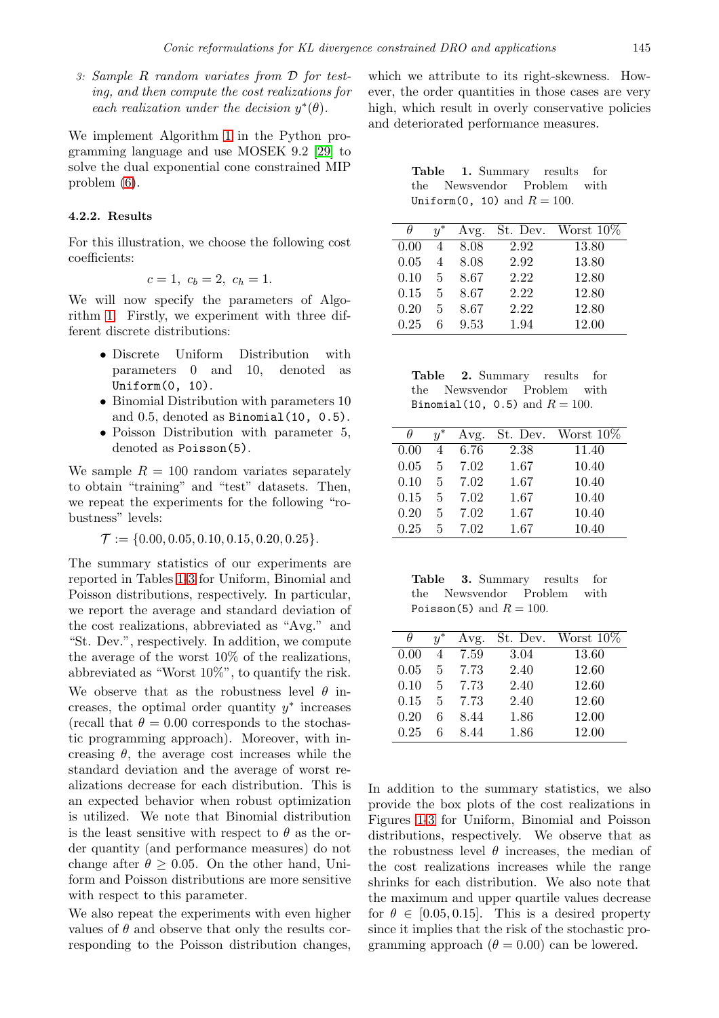3: *Sample* R *random variates from* D *for testing, and then compute the cost realizations for* each realization under the decision  $y^*(\theta)$ .

We implement Algorithm 1 in the Python programming language and use MOSEK 9.2 [\[29\]](#page-11-14) to solve the dual exponential cone constrained MIP problem [\(6\)](#page-5-3).

#### <span id="page-6-2"></span>4.2.2. Results

For this illustration, we choose the following cost coefficients:

$$
c = 1, c_b = 2, c_h = 1.
$$

We will now specify the parameters of Algorithm 1. Firstly, we experiment with three different discrete distributions:

- Discrete Uniform Distribution with parameters 0 and 10, denoted as Uniform(0, 10).
- Binomial Distribution with parameters 10 and 0.5, denoted as Binomial(10, 0.5).
- Poisson Distribution with parameter 5, denoted as Poisson(5).

We sample  $R = 100$  random variates separately to obtain "training" and "test" datasets. Then, we repeat the experiments for the following "robustness" levels:

$$
\mathcal{T} := \{0.00, 0.05, 0.10, 0.15, 0.20, 0.25\}.
$$

The summary statistics of our experiments are reported in Tables [1](#page-6-0)[-3](#page-6-1) for Uniform, Binomial and Poisson distributions, respectively. In particular, we report the average and standard deviation of the cost realizations, abbreviated as "Avg." and "St. Dev.", respectively. In addition, we compute the average of the worst 10% of the realizations, abbreviated as "Worst 10%", to quantify the risk. We observe that as the robustness level  $\theta$  increases, the optimal order quantity  $y^*$  increases (recall that  $\theta = 0.00$  corresponds to the stochastic programming approach). Moreover, with increasing  $\theta$ , the average cost increases while the standard deviation and the average of worst realizations decrease for each distribution. This is an expected behavior when robust optimization is utilized. We note that Binomial distribution is the least sensitive with respect to  $\theta$  as the order quantity (and performance measures) do not change after  $\theta \geq 0.05$ . On the other hand, Uniform and Poisson distributions are more sensitive with respect to this parameter.

We also repeat the experiments with even higher values of  $\theta$  and observe that only the results corresponding to the Poisson distribution changes,

which we attribute to its right-skewness. However, the order quantities in those cases are very high, which result in overly conservative policies and deteriorated performance measures.

<span id="page-6-0"></span>Table 1. Summary results for the Newsvendor Problem with Uniform  $(0, 10)$  and  $R = 100$ .

|      | $u^*$          | Avg. |      | St. Dev. Worst $10\%$ |
|------|----------------|------|------|-----------------------|
| 0.00 | 4              | 8.08 | 2.92 | 13.80                 |
| 0.05 | $\overline{4}$ | 8.08 | 2.92 | 13.80                 |
| 0.10 | 5.             | 8.67 | 2.22 | 12.80                 |
| 0.15 | 5              | 8.67 | 2.22 | 12.80                 |
| 0.20 | 5              | 8.67 | 2.22 | 12.80                 |
| 0.25 | 6              | 9.53 | 1.94 | 12.00                 |

|  |  | <b>Table 2.</b> Summary results for |  |
|--|--|-------------------------------------|--|
|  |  | the Newsvendor Problem with         |  |
|  |  | Binomial(10, 0.5) and $R = 100$ .   |  |

| H    | $u^*$ | Avg. |      | St. Dev. Worst $10\%$ |
|------|-------|------|------|-----------------------|
| 0.00 | 4     | 6.76 | 2.38 | 11.40                 |
| 0.05 | 5     | 7.02 | 1.67 | 10.40                 |
| 0.10 | 5     | 7.02 | 1.67 | 10.40                 |
| 0.15 | 5.    | 7.02 | 1.67 | 10.40                 |
| 0.20 | 5     | 7.02 | 1.67 | 10.40                 |
| 0.25 | 5.    | 7.02 | 1.67 | 10.40                 |

<span id="page-6-1"></span>Table 3. Summary results for the Newsvendor Problem with Poisson(5) and  $R = 100$ .

|      | $u^*$        | Avg. |      | St. Dev. Worst $10\%$ |
|------|--------------|------|------|-----------------------|
| 0.00 | 4            | 7.59 | 3.04 | 13.60                 |
| 0.05 | $\mathbf{5}$ | 7.73 | 2.40 | 12.60                 |
| 0.10 | $5 -$        | 7.73 | 2.40 | 12.60                 |
| 0.15 | 5            | 7.73 | 2.40 | 12.60                 |
| 0.20 | 6            | 8.44 | 1.86 | 12.00                 |
| 0.25 | 6            | 8.44 | 1.86 | 12.00                 |

In addition to the summary statistics, we also provide the box plots of the cost realizations in Figures [1-](#page-7-1)[3](#page-7-2) for Uniform, Binomial and Poisson distributions, respectively. We observe that as the robustness level  $\theta$  increases, the median of the cost realizations increases while the range shrinks for each distribution. We also note that the maximum and upper quartile values decrease for  $\theta \in [0.05, 0.15]$ . This is a desired property since it implies that the risk of the stochastic programming approach ( $\theta = 0.00$ ) can be lowered.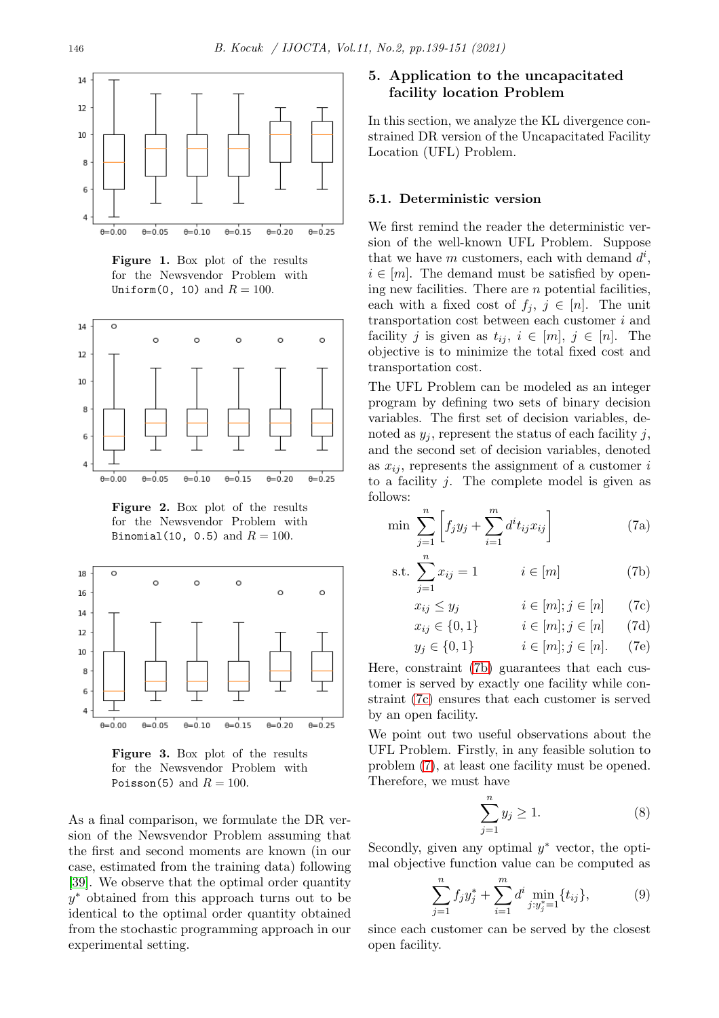

<span id="page-7-1"></span>Figure 1. Box plot of the results for the Newsvendor Problem with Uniform(0, 10) and  $R = 100$ .



Figure 2. Box plot of the results for the Newsvendor Problem with Binomial(10, 0.5) and  $R = 100$ .



<span id="page-7-2"></span>Figure 3. Box plot of the results for the Newsvendor Problem with Poisson(5) and  $R = 100$ .

As a final comparison, we formulate the DR version of the Newsvendor Problem assuming that the first and second moments are known (in our case, estimated from the training data) following [\[39\]](#page-12-4). We observe that the optimal order quantity y <sup>∗</sup> obtained from this approach turns out to be identical to the optimal order quantity obtained from the stochastic programming approach in our experimental setting.

# <span id="page-7-0"></span>5. Application to the uncapacitated facility location Problem

In this section, we analyze the KL divergence constrained DR version of the Uncapacitated Facility Location (UFL) Problem.

### 5.1. Deterministic version

We first remind the reader the deterministic version of the well-known UFL Problem. Suppose that we have m customers, each with demand  $d^i$ ,  $i \in [m]$ . The demand must be satisfied by opening new facilities. There are  $n$  potential facilities, each with a fixed cost of  $f_j, j \in [n]$ . The unit transportation cost between each customer i and facility j is given as  $t_{ij}$ ,  $i \in [m], j \in [n]$ . The objective is to minimize the total fixed cost and transportation cost.

The UFL Problem can be modeled as an integer program by defining two sets of binary decision variables. The first set of decision variables, denoted as  $y_i$ , represent the status of each facility j, and the second set of decision variables, denoted as  $x_{ij}$ , represents the assignment of a customer i to a facility  $j$ . The complete model is given as follows:

<span id="page-7-5"></span>
$$
\min \sum_{j=1}^{n} \left[ f_j y_j + \sum_{i=1}^{m} d^i t_{ij} x_{ij} \right]
$$
 (7a)

s.t. 
$$
\sum_{j=1}^{n} x_{ij} = 1
$$
  $i \in [m]$  (7b)

<span id="page-7-4"></span><span id="page-7-3"></span>
$$
x_{ij} \le y_j \qquad i \in [m]; j \in [n] \qquad (7c)
$$

$$
x_{ij} \in \{0, 1\} \qquad i \in [m]; j \in [n] \qquad (7d)
$$

<span id="page-7-8"></span>
$$
y_j \in \{0, 1\}
$$
  $i \in [m]; j \in [n].$  (7e)

Here, constraint [\(7b\)](#page-7-3) guarantees that each customer is served by exactly one facility while constraint [\(7c\)](#page-7-4) ensures that each customer is served by an open facility.

We point out two useful observations about the UFL Problem. Firstly, in any feasible solution to problem [\(7\)](#page-7-5), at least one facility must be opened. Therefore, we must have

<span id="page-7-6"></span>
$$
\sum_{j=1}^{n} y_j \ge 1. \tag{8}
$$

Secondly, given any optimal  $y^*$  vector, the optimal objective function value can be computed as

<span id="page-7-7"></span>
$$
\sum_{j=1}^{n} f_j y_j^* + \sum_{i=1}^{m} d^i \min_{j: y_j^* = 1} \{ t_{ij} \}, \tag{9}
$$

since each customer can be served by the closest open facility.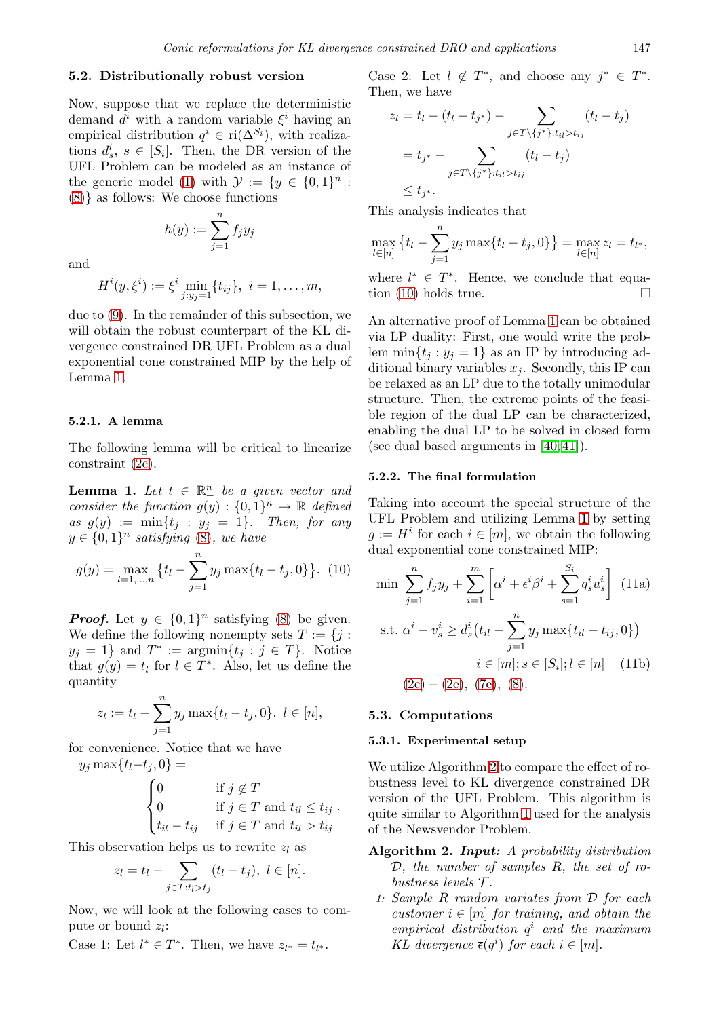#### 5.2. Distributionally robust version

Now, suppose that we replace the deterministic demand  $d^i$  with a random variable  $\xi^i$  having an empirical distribution  $q^i \in \text{ri}(\Delta^{S_i})$ , with realizations  $d_s^i$ ,  $s \in [S_i]$ . Then, the DR version of the UFL Problem can be modeled as an instance of the generic model [\(1\)](#page-4-0) with  $\mathcal{Y} := \{y \in \{0,1\}^n :$ [\(8\)](#page-7-6)} as follows: We choose functions

 $h(y) := \sum_{n=1}^{n}$ 

and

$$
H^{i}(y,\xi^{i}) := \xi^{i} \min_{j:y_{j}=1} \{t_{ij}\}, i = 1,\ldots,m,
$$

 $j=1$ 

 $f_jy_j$ 

due to [\(9\)](#page-7-7). In the remainder of this subsection, we will obtain the robust counterpart of the KL divergence constrained DR UFL Problem as a dual exponential cone constrained MIP by the help of Lemma [1.](#page-8-0)

#### 5.2.1. A lemma

The following lemma will be critical to linearize constraint [\(2c\)](#page-4-11).

<span id="page-8-0"></span>**Lemma 1.** Let  $t \in \mathbb{R}^n_+$  be a given vector and *consider the function*  $g(y) : \{0,1\}^n \to \mathbb{R}$  *defined*  $as\ g(y) := \min\{t_j : y_j = 1\}.$  Then, for any  $y \in \{0,1\}^n$  satisfying  $(8)$ , we have

<span id="page-8-1"></span>
$$
g(y) = \max_{l=1,\dots,n} \left\{ t_l - \sum_{j=1}^n y_j \max\{t_l - t_j, 0\} \right\}. (10)
$$

*Proof.* Let  $y \in \{0,1\}^n$  satisfying [\(8\)](#page-7-6) be given. We define the following nonempty sets  $T := \{j :$  $y_j = 1$  and  $T^* := \operatorname{argmin}\{t_j : j \in T\}$ . Notice that  $g(y) = t_l$  for  $l \in T^*$ . Also, let us define the quantity

$$
z_l := t_l - \sum_{j=1}^n y_j \max\{t_l - t_j, 0\}, \ l \in [n],
$$

for convenience. Notice that we have  $y_i \max\{t_l-t_i, 0\} =$ 

$$
\begin{cases}\n0 & \text{if } j \notin T \\
0 & \text{if } j \in T \text{ and } t_{il} \le t_{ij} \\
t_{il} - t_{ij} & \text{if } j \in T \text{ and } t_{il} > t_{ij}\n\end{cases}
$$

This observation helps us to rewrite  $z_l$  as

$$
z_l = t_l - \sum_{j \in T: t_l > t_j} (t_l - t_j), \ l \in [n].
$$

Now, we will look at the following cases to compute or bound  $z_l$ :

Case 1: Let  $l^* \in T^*$ . Then, we have  $z_{l^*} = t_{l^*}$ .

Case 2: Let  $l \notin T^*$ , and choose any  $j^* \in T^*$ . Then, we have

$$
z_l = t_l - (t_l - t_{j^*}) - \sum_{j \in T \setminus \{j^*\}: t_{il} > t_{ij}} (t_l - t_j)
$$
  
= 
$$
t_{j^*} - \sum_{j \in T \setminus \{j^*\}: t_{il} > t_{ij}} (t_l - t_j)
$$
  

$$
\leq t_{j^*}.
$$

This analysis indicates that

$$
\max_{l \in [n]} \left\{ t_l - \sum_{j=1}^n y_j \max\{t_l - t_j, 0\} \right\} = \max_{l \in [n]} z_l = t_{l^*},
$$

where  $l^* \in T^*$ . Hence, we conclude that equa-tion [\(10\)](#page-8-1) holds true.  $\Box$ 

An alternative proof of Lemma [1](#page-8-0) can be obtained via LP duality: First, one would write the problem  $\min\{t_j : y_j = 1\}$  as an IP by introducing additional binary variables  $x_i$ . Secondly, this IP can be relaxed as an LP due to the totally unimodular structure. Then, the extreme points of the feasible region of the dual LP can be characterized, enabling the dual LP to be solved in closed form (see dual based arguments in [\[40,](#page-12-5) [41\]](#page-12-6)).

#### 5.2.2. The final formulation

Taking into account the special structure of the UFL Problem and utilizing Lemma [1](#page-8-0) by setting  $g := H^i$  for each  $i \in [m]$ , we obtain the following dual exponential cone constrained MIP:

<span id="page-8-2"></span>
$$
\min \sum_{j=1}^{n} f_j y_j + \sum_{i=1}^{m} \left[ \alpha^i + \epsilon^i \beta^i + \sum_{s=1}^{S_i} q_s^i u_s^i \right] \tag{11a}
$$
\n
$$
\text{s.t. } \alpha^i - v_s^i \ge d_s^i (t_{il} - \sum_{j=1}^{n} y_j \max\{t_{il} - t_{ij}, 0\})
$$
\n
$$
i \in [m]; s \in [S_i]; l \in [n] \tag{11b}
$$
\n
$$
(2c) - (2e), (7e), (8).
$$

#### 5.3. Computations

#### 5.3.1. Experimental setup

We utilize Algorithm 2 to compare the effect of robustness level to KL divergence constrained DR version of the UFL Problem. This algorithm is quite similar to Algorithm 1 used for the analysis of the Newsvendor Problem.

- Algorithm 2. *Input: A probability distribution* D*, the number of samples* R*, the set of robustness levels* T *.*
	- 1: *Sample* R *random variates from* D *for each customer*  $i \in [m]$  *for training, and obtain the empirical distribution* q <sup>i</sup> *and the maximum KL* divergence  $\overline{\epsilon}(q^i)$  for each  $i \in [m]$ .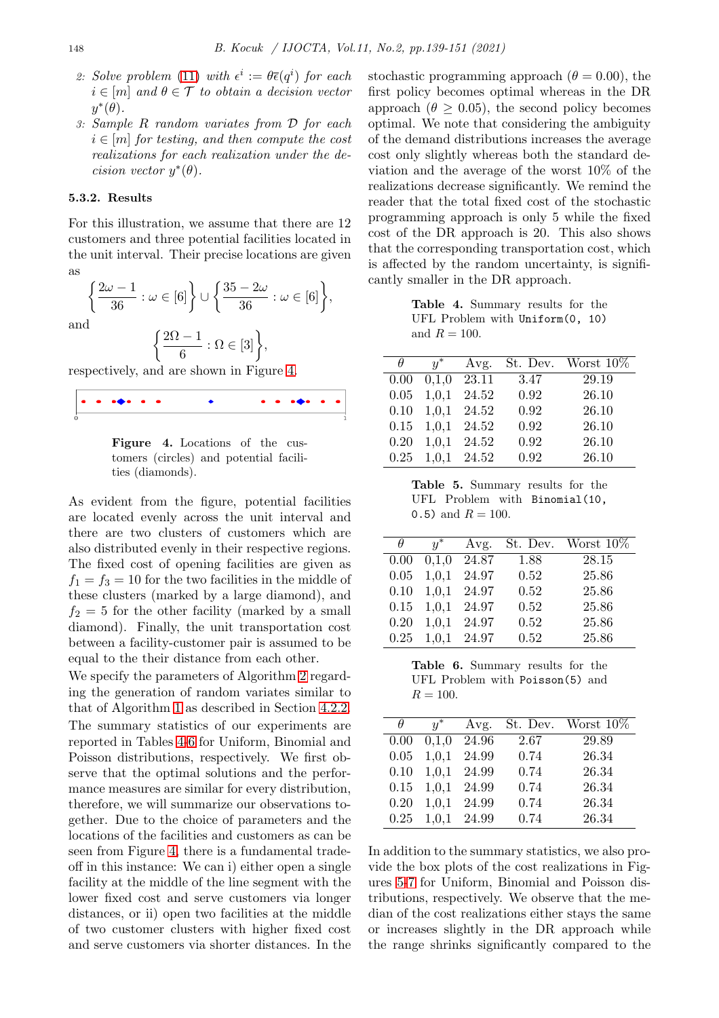- 2: Solve problem [\(11\)](#page-8-2) with  $\epsilon^i := \theta \bar{\epsilon}(q^i)$  for each  $i \in [m]$  *and*  $\theta \in \mathcal{T}$  *to obtain a decision vector*  $y^*(\theta)$ .
- 3: *Sample* R *random variates from* D *for each*  $i \in [m]$  *for testing, and then compute the cost realizations for each realization under the decision vector*  $y^*(\theta)$ *.*

#### 5.3.2. Results

For this illustration, we assume that there are 12 customers and three potential facilities located in the unit interval. Their precise locations are given as

$$
\left\{\frac{2\omega-1}{36} : \omega \in [6] \right\} \cup \left\{\frac{35-2\omega}{36} : \omega \in [6] \right\},\
$$
d

$$
\left\{\frac{2\Omega-1}{6} : \Omega \in [3]\right\},\
$$

respectively, and are shown in Figure [4.](#page-9-0)

|  | $\bullet\bullet\bullet\bullet\bullet\bullet\bullet$ |  |  |  |  |
|--|-----------------------------------------------------|--|--|--|--|
|  |                                                     |  |  |  |  |

<span id="page-9-0"></span>Figure 4. Locations of the customers (circles) and potential facilities (diamonds).

As evident from the figure, potential facilities are located evenly across the unit interval and there are two clusters of customers which are also distributed evenly in their respective regions. The fixed cost of opening facilities are given as  $f_1 = f_3 = 10$  for the two facilities in the middle of these clusters (marked by a large diamond), and  $f_2 = 5$  for the other facility (marked by a small diamond). Finally, the unit transportation cost between a facility-customer pair is assumed to be equal to the their distance from each other.

We specify the parameters of Algorithm 2 regarding the generation of random variates similar to that of Algorithm 1 as described in Section [4.2.2.](#page-6-2)

The summary statistics of our experiments are reported in Tables [4](#page-9-1)[-6](#page-9-2) for Uniform, Binomial and Poisson distributions, respectively. We first observe that the optimal solutions and the performance measures are similar for every distribution, therefore, we will summarize our observations together. Due to the choice of parameters and the locations of the facilities and customers as can be seen from Figure [4,](#page-9-0) there is a fundamental tradeoff in this instance: We can i) either open a single facility at the middle of the line segment with the lower fixed cost and serve customers via longer distances, or ii) open two facilities at the middle of two customer clusters with higher fixed cost and serve customers via shorter distances. In the stochastic programming approach ( $\theta = 0.00$ ), the first policy becomes optimal whereas in the DR approach ( $\theta \geq 0.05$ ), the second policy becomes optimal. We note that considering the ambiguity of the demand distributions increases the average cost only slightly whereas both the standard deviation and the average of the worst 10% of the realizations decrease significantly. We remind the reader that the total fixed cost of the stochastic programming approach is only 5 while the fixed cost of the DR approach is 20. This also shows that the corresponding transportation cost, which is affected by the random uncertainty, is significantly smaller in the DR approach.

<span id="page-9-1"></span>Table 4. Summary results for the UFL Problem with Uniform(0, 10) and  $R = 100$ .

| Ĥ    | $y^*$ | Avg.  |      | St. Dev. Worst $10\%$ |
|------|-------|-------|------|-----------------------|
| 0.00 | 0,1,0 | 23.11 | 3.47 | 29.19                 |
| 0.05 | 1,0,1 | 24.52 | 0.92 | 26.10                 |
| 0.10 | 1,0,1 | 24.52 | 0.92 | 26.10                 |
| 0.15 | 1,0,1 | 24.52 | 0.92 | 26.10                 |
| 0.20 | 1,0,1 | 24.52 | 0.92 | 26.10                 |
| 0.25 | 1,0,1 | 24.52 | 0.92 | 26.10                 |

Table 5. Summary results for the UFL Problem with Binomial(10, 0.5) and  $R = 100$ .

| $\theta$ | $u^*$ | Avg.  |      | St. Dev. Worst $10\%$ |
|----------|-------|-------|------|-----------------------|
| 0.00     | 0,1,0 | 24.87 | 1.88 | 28.15                 |
| 0.05     | 1,0,1 | 24.97 | 0.52 | 25.86                 |
| 0.10     | 1,0,1 | 24.97 | 0.52 | 25.86                 |
| 0.15     | 1,0,1 | 24.97 | 0.52 | 25.86                 |
| 0.20     | 1,0,1 | 24.97 | 0.52 | 25.86                 |
| 0.25     | 1,0,1 | 24.97 | 0.52 | 25.86                 |

<span id="page-9-2"></span>Table 6. Summary results for the UFL Problem with Poisson(5) and  $R = 100.$ 

| н    | $y^*$ | Avg.  |      | St. Dev. Worst 10\% |
|------|-------|-------|------|---------------------|
| 0.00 | 0,1,0 | 24.96 | 2.67 | 29.89               |
| 0.05 | 1,0,1 | 24.99 | 0.74 | 26.34               |
| 0.10 | 1,0,1 | 24.99 | 0.74 | 26.34               |
| 0.15 | 1,0,1 | 24.99 | 0.74 | 26.34               |
| 0.20 | 1,0,1 | 24.99 | 0.74 | 26.34               |
| 0.25 | 1,0,1 | 24.99 | 0.74 | 26.34               |

In addition to the summary statistics, we also provide the box plots of the cost realizations in Figures [5-](#page-10-7)[7](#page-10-8) for Uniform, Binomial and Poisson distributions, respectively. We observe that the median of the cost realizations either stays the same or increases slightly in the DR approach while the range shrinks significantly compared to the

an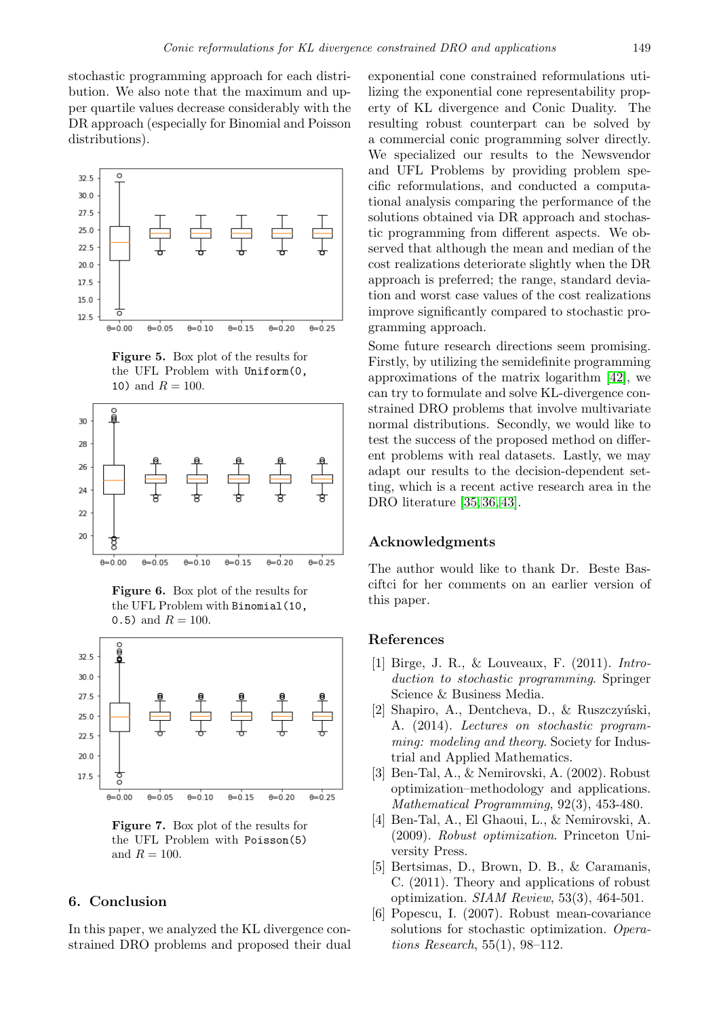stochastic programming approach for each distribution. We also note that the maximum and upper quartile values decrease considerably with the DR approach (especially for Binomial and Poisson distributions).



<span id="page-10-7"></span>Figure 5. Box plot of the results for the UFL Problem with Uniform(0, 10) and  $R = 100$ .



Figure 6. Box plot of the results for the UFL Problem with Binomial(10, 0.5) and  $R = 100$ .



<span id="page-10-8"></span>Figure 7. Box plot of the results for the UFL Problem with Poisson(5) and  $R = 100$ .

### <span id="page-10-5"></span>6. Conclusion

In this paper, we analyzed the KL divergence constrained DRO problems and proposed their dual

exponential cone constrained reformulations utilizing the exponential cone representability property of KL divergence and Conic Duality. The resulting robust counterpart can be solved by a commercial conic programming solver directly. We specialized our results to the Newsvendor and UFL Problems by providing problem specific reformulations, and conducted a computational analysis comparing the performance of the solutions obtained via DR approach and stochastic programming from different aspects. We observed that although the mean and median of the cost realizations deteriorate slightly when the DR approach is preferred; the range, standard deviation and worst case values of the cost realizations improve significantly compared to stochastic programming approach.

Some future research directions seem promising. Firstly, by utilizing the semidefinite programming approximations of the matrix logarithm [\[42\]](#page-12-7), we can try to formulate and solve KL-divergence constrained DRO problems that involve multivariate normal distributions. Secondly, we would like to test the success of the proposed method on different problems with real datasets. Lastly, we may adapt our results to the decision-dependent setting, which is a recent active research area in the DRO literature [\[35,](#page-12-0) [36,](#page-12-1) [43\]](#page-12-8).

### Acknowledgments

The author would like to thank Dr. Beste Basciftci for her comments on an earlier version of this paper.

### <span id="page-10-0"></span>References

- [1] Birge, J. R., & Louveaux, F. (2011). *Introduction to stochastic programming*. Springer Science & Business Media.
- <span id="page-10-1"></span> $[2]$  Shapiro, A., Dentcheva, D., & Ruszczyński, A. (2014). *Lectures on stochastic programming: modeling and theory*. Society for Industrial and Applied Mathematics.
- <span id="page-10-2"></span>[3] Ben-Tal, A., & Nemirovski, A. (2002). Robust optimization–methodology and applications. *Mathematical Programming*, 92(3), 453-480.
- <span id="page-10-6"></span>[4] Ben-Tal, A., El Ghaoui, L., & Nemirovski, A. (2009). *Robust optimization*. Princeton University Press.
- <span id="page-10-3"></span>[5] Bertsimas, D., Brown, D. B., & Caramanis, C. (2011). Theory and applications of robust optimization. *SIAM Review*, 53(3), 464-501.
- <span id="page-10-4"></span>[6] Popescu, I. (2007). Robust mean-covariance solutions for stochastic optimization. *Operations Research*, 55(1), 98–112.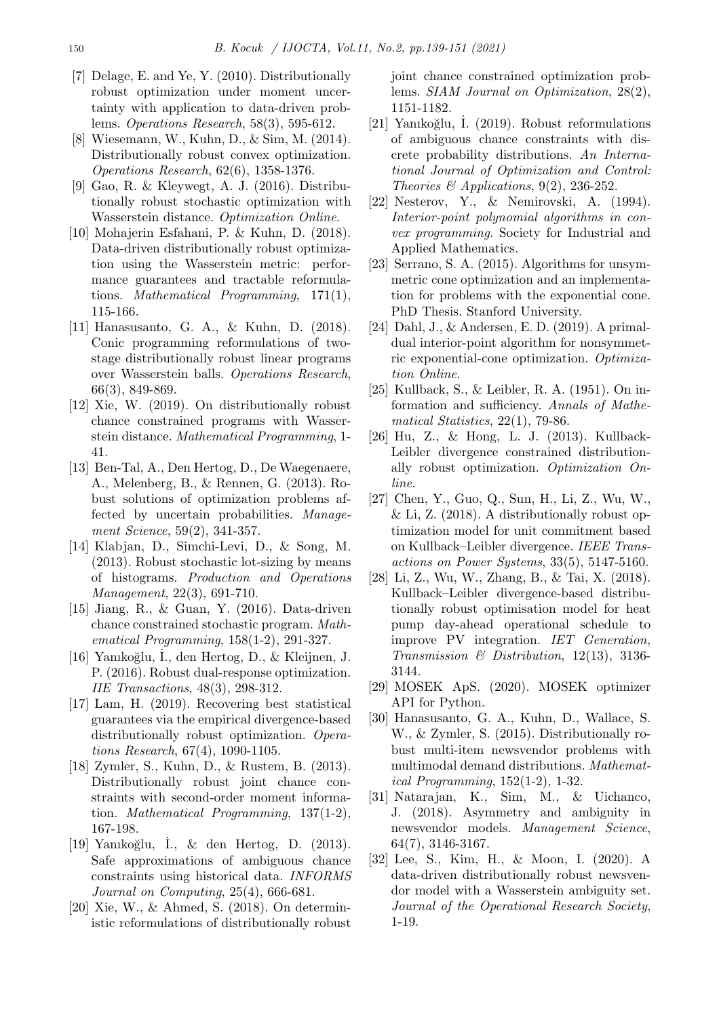- <span id="page-11-16"></span>[7] Delage, E. and Ye, Y. (2010). Distributionally robust optimization under moment uncertainty with application to data-driven problems. *Operations Research*, 58(3), 595-612.
- <span id="page-11-0"></span>[8] Wiesemann, W., Kuhn, D., & Sim, M. (2014). Distributionally robust convex optimization. *Operations Research*, 62(6), 1358-1376.
- <span id="page-11-1"></span>[9] Gao, R. & Kleywegt, A. J. (2016). Distributionally robust stochastic optimization with Wasserstein distance. *Optimization Online*.
- <span id="page-11-17"></span>[10] Mohajerin Esfahani, P. & Kuhn, D. (2018). Data-driven distributionally robust optimization using the Wasserstein metric: performance guarantees and tractable reformulations. *Mathematical Programming*, 171(1), 115-166.
- [11] Hanasusanto, G. A., & Kuhn, D. (2018). Conic programming reformulations of twostage distributionally robust linear programs over Wasserstein balls. *Operations Research*, 66(3), 849-869.
- <span id="page-11-2"></span>[12] Xie, W. (2019). On distributionally robust chance constrained programs with Wasserstein distance. *Mathematical Programming*, 1- 41.
- <span id="page-11-3"></span>[13] Ben-Tal, A., Den Hertog, D., De Waegenaere, A., Melenberg, B., & Rennen, G. (2013). Robust solutions of optimization problems affected by uncertain probabilities. *Management Science*, 59(2), 341-357.
- [14] Klabjan, D., Simchi-Levi, D., & Song, M. (2013). Robust stochastic lot-sizing by means of histograms. *Production and Operations Management*, 22(3), 691-710.
- [15] Jiang, R., & Guan, Y. (2016). Data-driven chance constrained stochastic program. *Mathematical Programming*, 158(1-2), 291-327.
- <span id="page-11-18"></span>[16] Yanıko˘glu, ˙I., den Hertog, D., & Kleijnen, J. P. (2016). Robust dual-response optimization. *IIE Transactions*, 48(3), 298-312.
- <span id="page-11-4"></span>[17] Lam, H. (2019). Recovering best statistical guarantees via the empirical divergence-based distributionally robust optimization. *Operations Research*, 67(4), 1090-1105.
- <span id="page-11-5"></span>[18] Zymler, S., Kuhn, D., & Rustem, B. (2013). Distributionally robust joint chance constraints with second-order moment information. *Mathematical Programming*, 137(1-2), 167-198.
- [19] Yanıkoğlu, I., & den Hertog, D. (2013). Safe approximations of ambiguous chance constraints using historical data. *INFORMS Journal on Computing*, 25(4), 666-681.
- <span id="page-11-19"></span>[20] Xie, W., & Ahmed, S. (2018). On deterministic reformulations of distributionally robust

joint chance constrained optimization problems. *SIAM Journal on Optimization*, 28(2), 1151-1182.

- <span id="page-11-6"></span>[21] Yanıkoğlu, I. (2019). Robust reformulations of ambiguous chance constraints with discrete probability distributions. *An International Journal of Optimization and Control: Theories & Applications*, 9(2), 236-252.
- <span id="page-11-7"></span>[22] Nesterov, Y., & Nemirovski, A. (1994). *Interior-point polynomial algorithms in convex programming*. Society for Industrial and Applied Mathematics.
- <span id="page-11-8"></span>[23] Serrano, S. A. (2015). Algorithms for unsymmetric cone optimization and an implementation for problems with the exponential cone. PhD Thesis. Stanford University.
- <span id="page-11-9"></span>[24] Dahl, J., & Andersen, E. D. (2019). A primaldual interior-point algorithm for nonsymmetric exponential-cone optimization. *Optimization Online*.
- <span id="page-11-10"></span>[25] Kullback, S., & Leibler, R. A. (1951). On information and sufficiency. *Annals of Mathematical Statistics*, 22(1), 79-86.
- <span id="page-11-11"></span>[26] Hu, Z., & Hong, L. J. (2013). Kullback-Leibler divergence constrained distributionally robust optimization. *Optimization Online*.
- <span id="page-11-12"></span>[27] Chen, Y., Guo, Q., Sun, H., Li, Z., Wu, W., & Li, Z. (2018). A distributionally robust optimization model for unit commitment based on Kullback–Leibler divergence. *IEEE Transactions on Power Systems*, 33(5), 5147-5160.
- <span id="page-11-13"></span>[28] Li, Z., Wu, W., Zhang, B., & Tai, X. (2018). Kullback–Leibler divergence-based distributionally robust optimisation model for heat pump day-ahead operational schedule to improve PV integration. *IET Generation, Transmission & Distribution*, 12(13), 3136- 3144.
- <span id="page-11-14"></span>[29] MOSEK ApS. (2020). MOSEK optimizer API for Python.
- <span id="page-11-15"></span>[30] Hanasusanto, G. A., Kuhn, D., Wallace, S. W., & Zymler, S. (2015). Distributionally robust multi-item newsvendor problems with multimodal demand distributions. *Mathematical Programming*, 152(1-2), 1-32.
- [31] Natarajan, K., Sim, M., & Uichanco, J. (2018). Asymmetry and ambiguity in newsvendor models. *Management Science*, 64(7), 3146-3167.
- [32] Lee, S., Kim, H., & Moon, I. (2020). A data-driven distributionally robust newsvendor model with a Wasserstein ambiguity set. *Journal of the Operational Research Society*, 1-19.